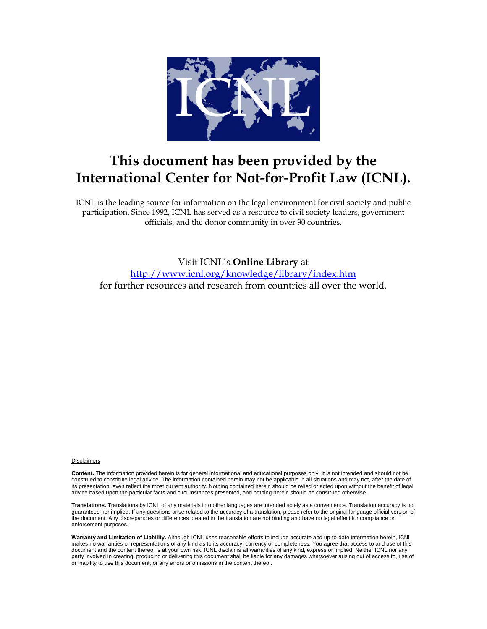

## **This document has been provided by the International Center for Not-for-Profit Law (ICNL).**

ICNL is the leading source for information on the legal environment for civil society and public participation. Since 1992, ICNL has served as a resource to civil society leaders, government officials, and the donor community in over 90 countries.

Visit ICNL's **Online Library** at <http://www.icnl.org/knowledge/library/index.htm> for further resources and research from countries all over the world.

#### **Disclaimers**

**Content.** The information provided herein is for general informational and educational purposes only. It is not intended and should not be construed to constitute legal advice. The information contained herein may not be applicable in all situations and may not, after the date of its presentation, even reflect the most current authority. Nothing contained herein should be relied or acted upon without the benefit of legal advice based upon the particular facts and circumstances presented, and nothing herein should be construed otherwise.

**Translations.** Translations by ICNL of any materials into other languages are intended solely as a convenience. Translation accuracy is not guaranteed nor implied. If any questions arise related to the accuracy of a translation, please refer to the original language official version of the document. Any discrepancies or differences created in the translation are not binding and have no legal effect for compliance or enforcement purposes.

**Warranty and Limitation of Liability.** Although ICNL uses reasonable efforts to include accurate and up-to-date information herein, ICNL makes no warranties or representations of any kind as to its accuracy, currency or completeness. You agree that access to and use of this document and the content thereof is at your own risk. ICNL disclaims all warranties of any kind, express or implied. Neither ICNL nor any party involved in creating, producing or delivering this document shall be liable for any damages whatsoever arising out of access to, use of or inability to use this document, or any errors or omissions in the content thereof.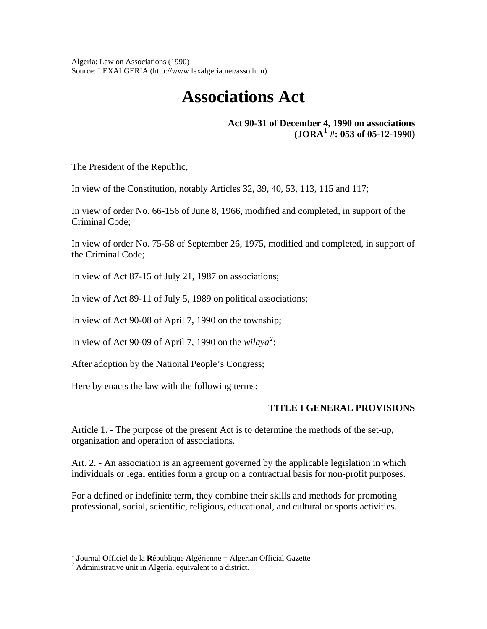Algeria: Law on Associations (1990) Source: LEXALGERIA (http://www.lexalgeria.net/asso.htm)

# **Associations Act**

**Act 90-31 of December 4, 1990 on associations**   $(JORA<sup>1</sup>$  $(JORA<sup>1</sup>$  $(JORA<sup>1</sup>$  #: 053 of 05-12-1990)

The President of the Republic,

In view of the Constitution, notably Articles 32, 39, 40, 53, 113, 115 and 117;

In view of order No. 66-156 of June 8, 1966, modified and completed, in support of the Criminal Code;

In view of order No. 75-58 of September 26, 1975, modified and completed, in support of the Criminal Code;

In view of Act 87-15 of July 21, 1987 on associations;

In view of Act 89-11 of July 5, 1989 on political associations;

In view of Act 90-08 of April 7, 1990 on the township;

In view of Act 90-09 of April 7, 1990 on the  $wilaya^2$  $wilaya^2$ ;

After adoption by the National People's Congress;

Here by enacts the law with the following terms:

#### **TITLE I GENERAL PROVISIONS**

Article 1. - The purpose of the present Act is to determine the methods of the set-up, organization and operation of associations.

Art. 2. - An association is an agreement governed by the applicable legislation in which individuals or legal entities form a group on a contractual basis for non-profit purposes.

For a defined or indefinite term, they combine their skills and methods for promoting professional, social, scientific, religious, educational, and cultural or sports activities.

 $\overline{a}$ 

<span id="page-1-0"></span><sup>&</sup>lt;sup>1</sup> **J**ournal **O**fficiel de la **R**épublique **A**lgérienne = Algerian Official Gazette  $2^2$  Administrative unit in Algeria conjuglent to a district

<span id="page-1-1"></span>Administrative unit in Algeria, equivalent to a district.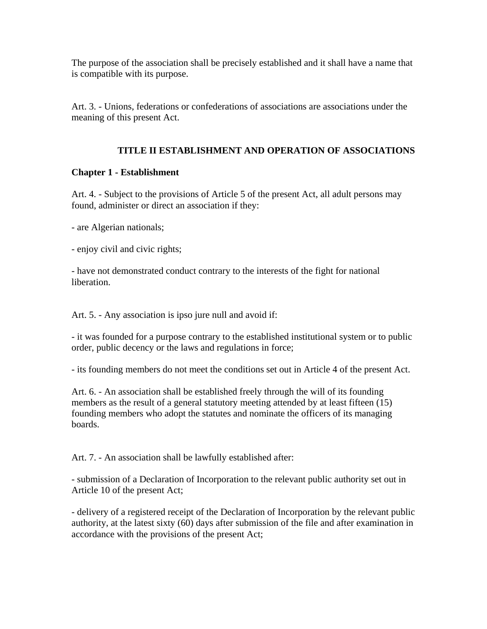The purpose of the association shall be precisely established and it shall have a name that is compatible with its purpose.

Art. 3. - Unions, federations or confederations of associations are associations under the meaning of this present Act.

#### **TITLE II ESTABLISHMENT AND OPERATION OF ASSOCIATIONS**

#### **Chapter 1 - Establishment**

Art. 4. - Subject to the provisions of Article 5 of the present Act, all adult persons may found, administer or direct an association if they:

- are Algerian nationals;

- enjoy civil and civic rights;

- have not demonstrated conduct contrary to the interests of the fight for national liberation.

Art. 5. - Any association is ipso jure null and avoid if:

- it was founded for a purpose contrary to the established institutional system or to public order, public decency or the laws and regulations in force;

- its founding members do not meet the conditions set out in Article 4 of the present Act.

Art. 6. - An association shall be established freely through the will of its founding members as the result of a general statutory meeting attended by at least fifteen (15) founding members who adopt the statutes and nominate the officers of its managing boards.

Art. 7. - An association shall be lawfully established after:

- submission of a Declaration of Incorporation to the relevant public authority set out in Article 10 of the present Act;

- delivery of a registered receipt of the Declaration of Incorporation by the relevant public authority, at the latest sixty (60) days after submission of the file and after examination in accordance with the provisions of the present Act;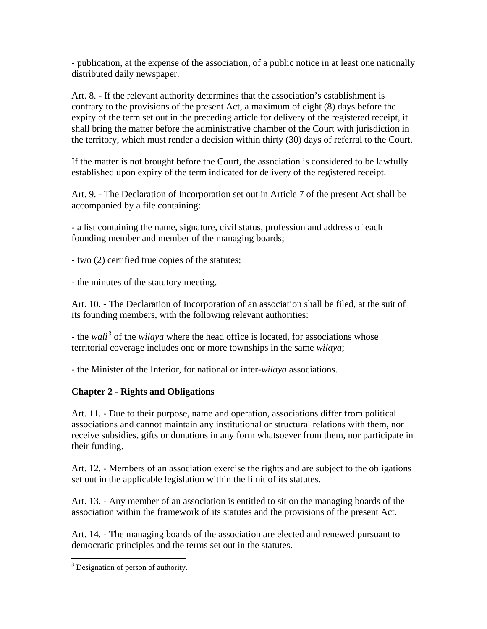- publication, at the expense of the association, of a public notice in at least one nationally distributed daily newspaper.

Art. 8. - If the relevant authority determines that the association's establishment is contrary to the provisions of the present Act, a maximum of eight (8) days before the expiry of the term set out in the preceding article for delivery of the registered receipt, it shall bring the matter before the administrative chamber of the Court with jurisdiction in the territory, which must render a decision within thirty (30) days of referral to the Court.

If the matter is not brought before the Court, the association is considered to be lawfully established upon expiry of the term indicated for delivery of the registered receipt.

Art. 9. - The Declaration of Incorporation set out in Article 7 of the present Act shall be accompanied by a file containing:

- a list containing the name, signature, civil status, profession and address of each founding member and member of the managing boards;

- two (2) certified true copies of the statutes;

- the minutes of the statutory meeting.

Art. 10. - The Declaration of Incorporation of an association shall be filed, at the suit of its founding members, with the following relevant authorities:

- the *wali[3](#page-3-0)* of the *wilaya* where the head office is located, for associations whose territorial coverage includes one or more townships in the same *wilaya*;

- the Minister of the Interior, for national or inter-*wilaya* associations.

### **Chapter 2 - Rights and Obligations**

Art. 11. - Due to their purpose, name and operation, associations differ from political associations and cannot maintain any institutional or structural relations with them, nor receive subsidies, gifts or donations in any form whatsoever from them, nor participate in their funding.

Art. 12. - Members of an association exercise the rights and are subject to the obligations set out in the applicable legislation within the limit of its statutes.

Art. 13. - Any member of an association is entitled to sit on the managing boards of the association within the framework of its statutes and the provisions of the present Act.

Art. 14. - The managing boards of the association are elected and renewed pursuant to democratic principles and the terms set out in the statutes.

 $\overline{a}$ 

<span id="page-3-0"></span><sup>&</sup>lt;sup>3</sup> Designation of person of authority.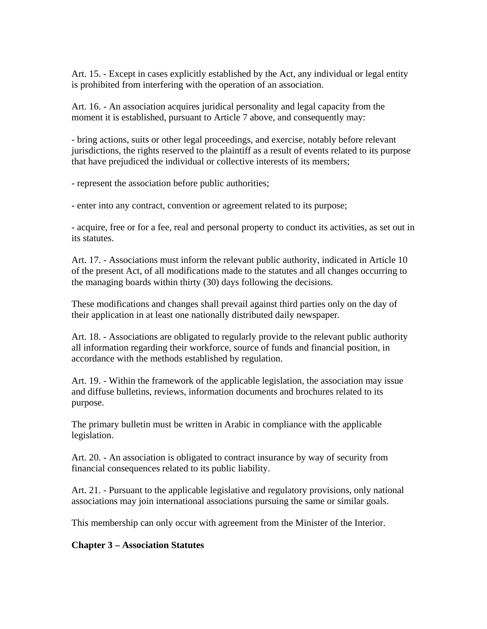Art. 15. - Except in cases explicitly established by the Act, any individual or legal entity is prohibited from interfering with the operation of an association.

Art. 16. - An association acquires juridical personality and legal capacity from the moment it is established, pursuant to Article 7 above, and consequently may:

- bring actions, suits or other legal proceedings, and exercise, notably before relevant jurisdictions, the rights reserved to the plaintiff as a result of events related to its purpose that have prejudiced the individual or collective interests of its members;

- represent the association before public authorities;

- enter into any contract, convention or agreement related to its purpose;

- acquire, free or for a fee, real and personal property to conduct its activities, as set out in its statutes.

Art. 17. - Associations must inform the relevant public authority, indicated in Article 10 of the present Act, of all modifications made to the statutes and all changes occurring to the managing boards within thirty (30) days following the decisions.

These modifications and changes shall prevail against third parties only on the day of their application in at least one nationally distributed daily newspaper.

Art. 18. - Associations are obligated to regularly provide to the relevant public authority all information regarding their workforce, source of funds and financial position, in accordance with the methods established by regulation.

Art. 19. - Within the framework of the applicable legislation, the association may issue and diffuse bulletins, reviews, information documents and brochures related to its purpose.

The primary bulletin must be written in Arabic in compliance with the applicable legislation.

Art. 20. - An association is obligated to contract insurance by way of security from financial consequences related to its public liability.

Art. 21. - Pursuant to the applicable legislative and regulatory provisions, only national associations may join international associations pursuing the same or similar goals.

This membership can only occur with agreement from the Minister of the Interior.

#### **Chapter 3 – Association Statutes**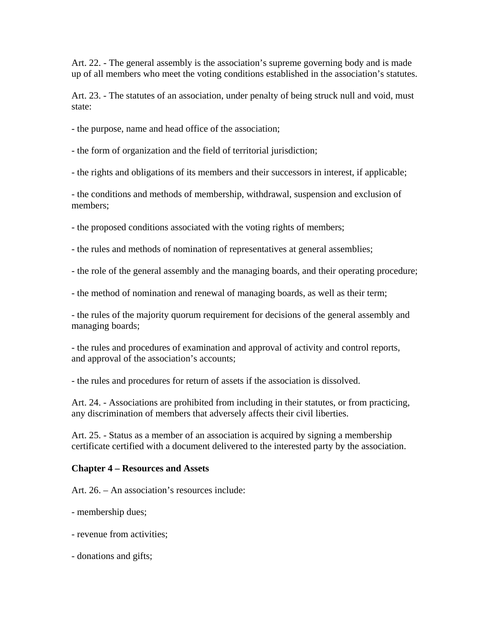Art. 22. - The general assembly is the association's supreme governing body and is made up of all members who meet the voting conditions established in the association's statutes.

Art. 23. - The statutes of an association, under penalty of being struck null and void, must state:

- the purpose, name and head office of the association;
- the form of organization and the field of territorial jurisdiction;

- the rights and obligations of its members and their successors in interest, if applicable;

- the conditions and methods of membership, withdrawal, suspension and exclusion of members;

- the proposed conditions associated with the voting rights of members;

- the rules and methods of nomination of representatives at general assemblies;

- the role of the general assembly and the managing boards, and their operating procedure;

- the method of nomination and renewal of managing boards, as well as their term;

- the rules of the majority quorum requirement for decisions of the general assembly and managing boards;

- the rules and procedures of examination and approval of activity and control reports, and approval of the association's accounts;

- the rules and procedures for return of assets if the association is dissolved.

Art. 24. - Associations are prohibited from including in their statutes, or from practicing, any discrimination of members that adversely affects their civil liberties.

Art. 25. - Status as a member of an association is acquired by signing a membership certificate certified with a document delivered to the interested party by the association.

#### **Chapter 4 – Resources and Assets**

Art. 26. – An association's resources include:

- membership dues;
- revenue from activities;
- donations and gifts;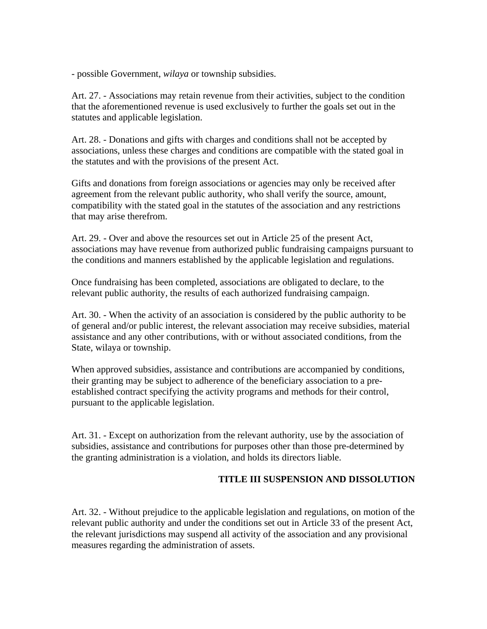- possible Government, *wilaya* or township subsidies.

Art. 27. - Associations may retain revenue from their activities, subject to the condition that the aforementioned revenue is used exclusively to further the goals set out in the statutes and applicable legislation.

Art. 28. - Donations and gifts with charges and conditions shall not be accepted by associations, unless these charges and conditions are compatible with the stated goal in the statutes and with the provisions of the present Act.

Gifts and donations from foreign associations or agencies may only be received after agreement from the relevant public authority, who shall verify the source, amount, compatibility with the stated goal in the statutes of the association and any restrictions that may arise therefrom.

Art. 29. - Over and above the resources set out in Article 25 of the present Act, associations may have revenue from authorized public fundraising campaigns pursuant to the conditions and manners established by the applicable legislation and regulations.

Once fundraising has been completed, associations are obligated to declare, to the relevant public authority, the results of each authorized fundraising campaign.

Art. 30. - When the activity of an association is considered by the public authority to be of general and/or public interest, the relevant association may receive subsidies, material assistance and any other contributions, with or without associated conditions, from the State, wilaya or township.

When approved subsidies, assistance and contributions are accompanied by conditions, their granting may be subject to adherence of the beneficiary association to a preestablished contract specifying the activity programs and methods for their control, pursuant to the applicable legislation.

Art. 31. - Except on authorization from the relevant authority, use by the association of subsidies, assistance and contributions for purposes other than those pre-determined by the granting administration is a violation, and holds its directors liable.

#### **TITLE III SUSPENSION AND DISSOLUTION**

Art. 32. - Without prejudice to the applicable legislation and regulations, on motion of the relevant public authority and under the conditions set out in Article 33 of the present Act, the relevant jurisdictions may suspend all activity of the association and any provisional measures regarding the administration of assets.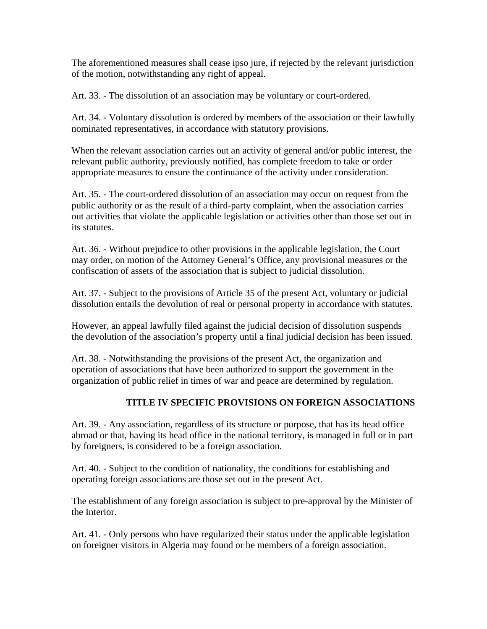The aforementioned measures shall cease ipso jure, if rejected by the relevant jurisdiction of the motion, notwithstanding any right of appeal.

Art. 33. - The dissolution of an association may be voluntary or court-ordered.

Art. 34. - Voluntary dissolution is ordered by members of the association or their lawfully nominated representatives, in accordance with statutory provisions.

When the relevant association carries out an activity of general and/or public interest, the relevant public authority, previously notified, has complete freedom to take or order appropriate measures to ensure the continuance of the activity under consideration.

Art. 35. - The court-ordered dissolution of an association may occur on request from the public authority or as the result of a third-party complaint, when the association carries out activities that violate the applicable legislation or activities other than those set out in its statutes.

Art. 36. - Without prejudice to other provisions in the applicable legislation, the Court may order, on motion of the Attorney General's Office, any provisional measures or the confiscation of assets of the association that is subject to judicial dissolution.

Art. 37. - Subject to the provisions of Article 35 of the present Act, voluntary or judicial dissolution entails the devolution of real or personal property in accordance with statutes.

However, an appeal lawfully filed against the judicial decision of dissolution suspends the devolution of the association's property until a final judicial decision has been issued.

Art. 38. - Notwithstanding the provisions of the present Act, the organization and operation of associations that have been authorized to support the government in the organization of public relief in times of war and peace are determined by regulation.

### **TITLE IV SPECIFIC PROVISIONS ON FOREIGN ASSOCIATIONS**

Art. 39. - Any association, regardless of its structure or purpose, that has its head office abroad or that, having its head office in the national territory, is managed in full or in part by foreigners, is considered to be a foreign association.

Art. 40. - Subject to the condition of nationality, the conditions for establishing and operating foreign associations are those set out in the present Act.

The establishment of any foreign association is subject to pre-approval by the Minister of the Interior.

Art. 41. - Only persons who have regularized their status under the applicable legislation on foreigner visitors in Algeria may found or be members of a foreign association.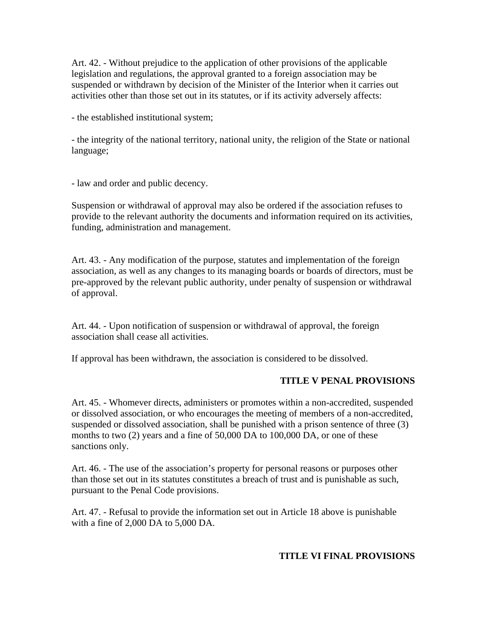Art. 42. - Without prejudice to the application of other provisions of the applicable legislation and regulations, the approval granted to a foreign association may be suspended or withdrawn by decision of the Minister of the Interior when it carries out activities other than those set out in its statutes, or if its activity adversely affects:

- the established institutional system;

- the integrity of the national territory, national unity, the religion of the State or national language;

- law and order and public decency.

Suspension or withdrawal of approval may also be ordered if the association refuses to provide to the relevant authority the documents and information required on its activities, funding, administration and management.

Art. 43. - Any modification of the purpose, statutes and implementation of the foreign association, as well as any changes to its managing boards or boards of directors, must be pre-approved by the relevant public authority, under penalty of suspension or withdrawal of approval.

Art. 44. - Upon notification of suspension or withdrawal of approval, the foreign association shall cease all activities.

If approval has been withdrawn, the association is considered to be dissolved.

#### **TITLE V PENAL PROVISIONS**

Art. 45. - Whomever directs, administers or promotes within a non-accredited, suspended or dissolved association, or who encourages the meeting of members of a non-accredited, suspended or dissolved association, shall be punished with a prison sentence of three (3) months to two (2) years and a fine of 50,000 DA to 100,000 DA, or one of these sanctions only.

Art. 46. - The use of the association's property for personal reasons or purposes other than those set out in its statutes constitutes a breach of trust and is punishable as such, pursuant to the Penal Code provisions.

Art. 47. - Refusal to provide the information set out in Article 18 above is punishable with a fine of 2,000 DA to 5,000 DA.

#### **TITLE VI FINAL PROVISIONS**